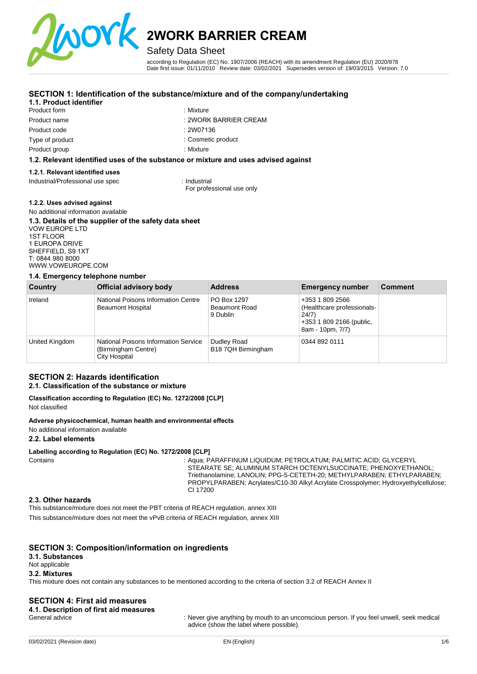

# Safety Data Sheet

according to Regulation (EC) No. 1907/2006 (REACH) with its amendment Regulation (EU) 2020/878 Date first issue: 01/11/2010 Review date: 03/02/2021 Supersedes version of: 19/03/2015 Version: 7.0

# **SECTION 1: Identification of the substance/mixture and of the company/undertaking**

# **1.1. Product identifier**

Product form Product name Product code Type of product Product group

- : Mixture
	- : 2WORK BARRIER CREAM
	- : 2W07136
	- : Cosmetic product

: Mixture

# **1.2. Relevant identified uses of the substance or mixture and uses advised against**

#### **1.2.1. Relevant identified uses**

Industrial/Professional use spec : Industrial

For professional use only

#### **1.2.2. Uses advised against**

#### No additional information available **1.3. Details of the supplier of the safety data sheet**  VOW EUROPE LTD 1ST FLOOR 1 EUROPA DRIVE SHEFFIELD, S9 1XT

T: 0844 980 8000 [WWW.VOWEUROPE.COM](mailto:info@cloverchemicals.com)

# **1.4. Emergency telephone number**

| Country        | <b>Official advisory body</b>                                                | <b>Address</b>                                  | <b>Emergency number</b>                                                                                | <b>Comment</b> |
|----------------|------------------------------------------------------------------------------|-------------------------------------------------|--------------------------------------------------------------------------------------------------------|----------------|
| Ireland        | National Poisons Information Centre<br><b>Beaumont Hospital</b>              | PO Box 1297<br><b>Beaumont Road</b><br>9 Dublin | +353 1 809 2566<br>(Healthcare professionals-<br>24/7)<br>+353 1 809 2166 (public,<br>8am - 10pm, 7/7) |                |
| United Kingdom | National Poisons Information Service<br>(Birmingham Centre)<br>City Hospital | Dudley Road<br>B18 7QH Birmingham               | 0344 892 0111                                                                                          |                |

# **SECTION 2: Hazards identification**

# **2.1. Classification of the substance or mixture**

#### **Classification according to Regulation (EC) No. 1272/2008 [CLP]**  Not classified

#### **Adverse physicochemical, human health and environmental effects**

### No additional information available

#### **2.2. Label elements**

#### **Labelling according to Regulation (EC) No. 1272/2008 [CLP]**

Contains : Aqua; PARAFFINUM LIQUIDUM; PETROLATUM; PALMITIC ACID; GLYCERYL STEARATE SE; ALUMINUM STARCH OCTENYLSUCCINATE; PHENOXYETHANOL; Triethanolamine; LANOLIN; PPG-5-CETETH-20; METHYLPARABEN; ETHYLPARABEN; PROPYLPARABEN; Acrylates/C10-30 Alkyl Acrylate Crosspolymer; Hydroxyethylcellulose; CI 17200

#### **2.3. Other hazards**

This substance/mixture does not meet the PBT criteria of REACH regulation, annex XIII This substance/mixture does not meet the vPvB criteria of REACH regulation, annex XIII

# **SECTION 3: Composition/information on ingredients**

# **3.1. Substances**

Not applicable

## **3.2. Mixtures**

This mixture does not contain any substances to be mentioned according to the criteria of section 3.2 of REACH Annex II

# **SECTION 4: First aid measures**

**4.1. Description of first aid measures** 

: Never give anything by mouth to an unconscious person. If you feel unwell, seek medical advice (show the label where possible).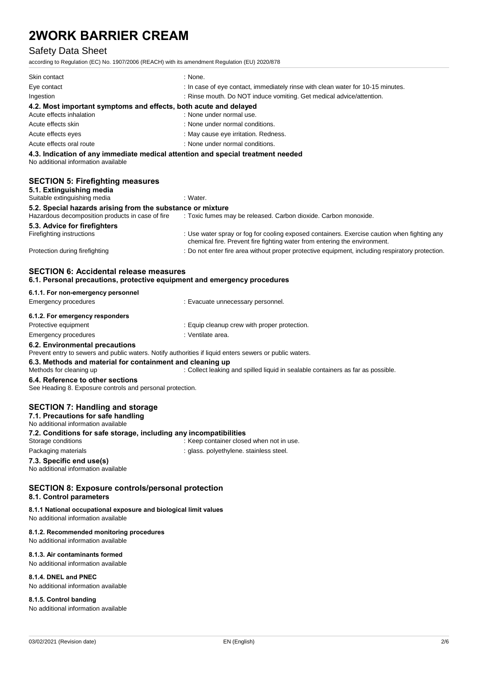# Safety Data Sheet

according to Regulation (EC) No. 1907/2006 (REACH) with its amendment Regulation (EU) 2020/878

| Skin contact                                                                                                           | : None.                                                                         |
|------------------------------------------------------------------------------------------------------------------------|---------------------------------------------------------------------------------|
| Eye contact                                                                                                            | : In case of eye contact, immediately rinse with clean water for 10-15 minutes. |
| Ingestion                                                                                                              | : Rinse mouth. Do NOT induce vomiting. Get medical advice/attention.            |
| 4.2. Most important symptoms and effects, both acute and delayed<br>Acute effects inhalation                           | : None under normal use.                                                        |
| Acute effects skin                                                                                                     | : None under normal conditions.                                                 |
| Acute effects eyes                                                                                                     | : May cause eye irritation. Redness.                                            |
| Acute effects oral route                                                                                               | : None under normal conditions.                                                 |
| 4.3. Indication of any immediate medical attention and special treatment needed<br>No additional information available |                                                                                 |
| <b>SECTION 5: Firefighting measures</b><br>5.1. Extinguishing media<br>Suitable extinguishing media                    | : Water.                                                                        |
| 5.2. Special hazards arising from the substance or mixture<br>Hazardous decomposition products in case of fire         | : Toxic fumes may be released. Carbon dioxide. Carbon monoxide.                 |
| E 9 Advias far firsfiahtara                                                                                            |                                                                                 |

# **5.3. Advice for firefighters**

Protection during firefighting **inter the state of the CO** not enter fire area without proper protective equipment, including respiratory protection.

chemical fire. Prevent fire fighting water from entering the environment.

#### **SECTION 6: Accidental release measures 6.1. Personal precautions, protective equipment and emergency procedures**

|  |  | 6.1.1. For non-emergency personnel |  |
|--|--|------------------------------------|--|
|  |  |                                    |  |

| 6.2. Environmental precautions  |                                              |
|---------------------------------|----------------------------------------------|
| Emergency procedures            | : Ventilate area.                            |
| Protective equipment            | : Equip cleanup crew with proper protection. |
| 6.1.2. For emergency responders |                                              |
| Emergency procedures            | : Evacuate unnecessary personnel.            |

Prevent entry to sewers and public waters. Notify authorities if liquid enters sewers or public waters.

**6.3. Methods and material for containment and cleaning up** 

Methods for cleaning up : Collect leaking and spilled liquid in sealable containers as far as possible.

: Use water spray or fog for cooling exposed containers. Exercise caution when fighting any

#### **6.4. Reference to other sections**

See Heading 8. Exposure controls and personal protection.

# **SECTION 7: Handling and storage**

**7.1. Precautions for safe handling** 

No additional information available **7.2. Conditions for safe storage, including any incompatibilities**  : Keep container closed when not in use. Packaging materials **Packaging materials** : glass. polyethylene. stainless steel. **7.3. Specific end use(s)** 

No additional information available

# **SECTION 8: Exposure controls/personal protection**

# **8.1. Control parameters**

#### **8.1.1 National occupational exposure and biological limit values**

No additional information available

# **8.1.2. Recommended monitoring procedures**

No additional information available

### **8.1.3. Air contaminants formed**

No additional information available

### **8.1.4. DNEL and PNEC**

No additional information available

### **8.1.5. Control banding**

No additional information available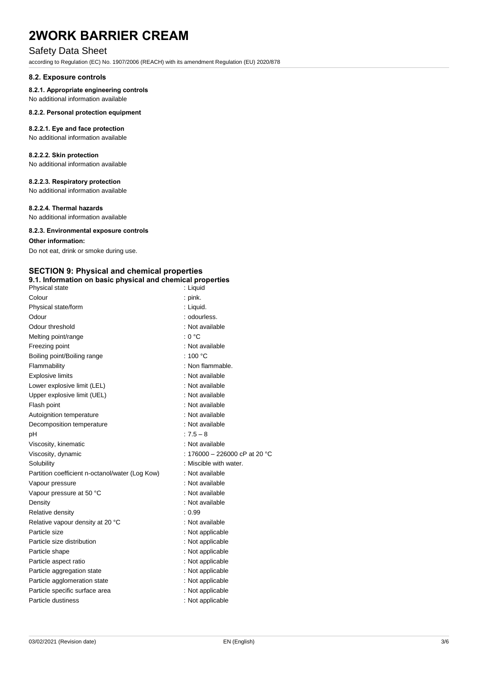# Safety Data Sheet

according to Regulation (EC) No. 1907/2006 (REACH) with its amendment Regulation (EU) 2020/878

#### **8.2. Exposure controls**

#### **8.2.1. Appropriate engineering controls**

No additional information available

#### **8.2.2. Personal protection equipment**

### **8.2.2.1. Eye and face protection**

No additional information available

### **8.2.2.2. Skin protection**

No additional information available

# **8.2.2.3. Respiratory protection**

No additional information available

#### **8.2.2.4. Thermal hazards**

No additional information available

#### **8.2.3. Environmental exposure controls**

#### **Other information:**

Do not eat, drink or smoke during use.

#### **SECTION 9: Physical and chemical properties 9.1. Information on basic physical and chemical properties**

| Physical state                                  | : Liquid                      |
|-------------------------------------------------|-------------------------------|
| Colour                                          | $:$ pink.                     |
| Physical state/form                             | : Liquid.                     |
| Odour                                           | : odourless.                  |
| Odour threshold                                 | : Not available               |
| Melting point/range                             | : 0 °C                        |
| Freezing point                                  | : Not available               |
| Boiling point/Boiling range                     | : 100 $^{\circ}$ C            |
| Flammability                                    | : Non flammable.              |
| <b>Explosive limits</b>                         | : Not available               |
| Lower explosive limit (LEL)                     | : Not available               |
| Upper explosive limit (UEL)                     | : Not available               |
| Flash point                                     | : Not available               |
| Autoignition temperature                        | : Not available               |
| Decomposition temperature                       | : Not available               |
| pH                                              | $:7.5 - 8$                    |
| Viscosity, kinematic                            | : Not available               |
| Viscosity, dynamic                              | : 176000 - 226000 cP at 20 °C |
| Solubility                                      | : Miscible with water.        |
| Partition coefficient n-octanol/water (Log Kow) | : Not available               |
| Vapour pressure                                 | : Not available               |
| Vapour pressure at 50 °C                        | : Not available               |
| Density                                         | : Not available               |
| Relative density                                | : 0.99                        |
| Relative vapour density at 20 °C                | : Not available               |
| Particle size                                   | : Not applicable              |
| Particle size distribution                      | : Not applicable              |
| Particle shape                                  | : Not applicable              |
| Particle aspect ratio                           | : Not applicable              |
| Particle aggregation state                      | : Not applicable              |
| Particle agglomeration state                    | : Not applicable              |
| Particle specific surface area                  | : Not applicable              |
| Particle dustiness                              | : Not applicable              |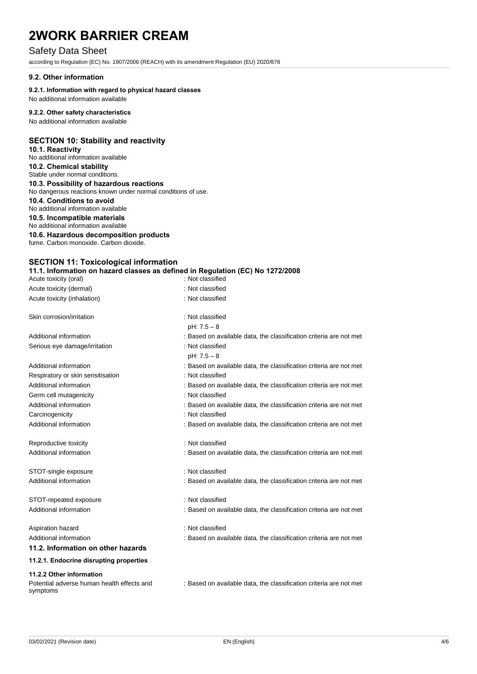# Safety Data Sheet

according to Regulation (EC) No. 1907/2006 (REACH) with its amendment Regulation (EU) 2020/878

#### **9.2. Other information**

#### **9.2.1. Information with regard to physical hazard classes**

No additional information available

# **9.2.2. Other safety characteristics**

No additional information available

# **SECTION 10: Stability and reactivity**

### **10.1. Reactivity**

No additional information available **10.2. Chemical stability**  Stable under normal conditions.

#### **10.3. Possibility of hazardous reactions**

No dangerous reactions known under normal conditions of use.

**10.4. Conditions to avoid** 

No additional information available

# **10.5. Incompatible materials**

No additional information available

#### **10.6. Hazardous decomposition products**  fume. Carbon monoxide. Carbon dioxide.

| <b>SECTION 11: Toxicological information</b> |                                                                                |
|----------------------------------------------|--------------------------------------------------------------------------------|
|                                              | 11.1. Information on hazard classes as defined in Regulation (EC) No 1272/2008 |
| Acute toxicity (oral)                        | : Not classified                                                               |

| Acute toxicity (dermal)                    | : Not classified                                                   |
|--------------------------------------------|--------------------------------------------------------------------|
| Acute toxicity (inhalation)                | : Not classified                                                   |
| Skin corrosion/irritation                  | : Not classified                                                   |
|                                            | $pH: 7.5 - 8$                                                      |
| Additional information                     | : Based on available data, the classification criteria are not met |
| Serious eye damage/irritation              | : Not classified<br>$pH: 7.5 - 8$                                  |
| Additional information                     | : Based on available data, the classification criteria are not met |
| Respiratory or skin sensitisation          | : Not classified                                                   |
| Additional information                     | : Based on available data, the classification criteria are not met |
| Germ cell mutagenicity                     | : Not classified                                                   |
| Additional information                     | : Based on available data, the classification criteria are not met |
| Carcinogenicity                            | : Not classified                                                   |
| Additional information                     | : Based on available data, the classification criteria are not met |
| Reproductive toxicity                      | : Not classified                                                   |
| Additional information                     | : Based on available data, the classification criteria are not met |
| STOT-single exposure                       | : Not classified                                                   |
| Additional information                     | : Based on available data, the classification criteria are not met |
| STOT-repeated exposure                     | : Not classified                                                   |
| Additional information                     | : Based on available data, the classification criteria are not met |
| Aspiration hazard                          | : Not classified                                                   |
| Additional information                     | : Based on available data, the classification criteria are not met |
| 11.2. Information on other hazards         |                                                                    |
| 11.2.1. Endocrine disrupting properties    |                                                                    |
| 11.2.2 Other information                   |                                                                    |
| Potential adverse human health effects and | : Based on available data, the classification criteria are not met |

symptoms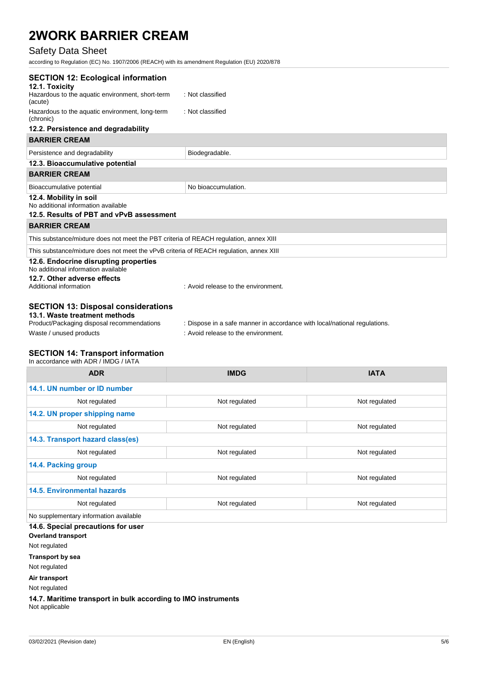# Safety Data Sheet

according to Regulation (EC) No. 1907/2006 (REACH) with its amendment Regulation (EU) 2020/878

| <b>SECTION 12: Ecological information</b>                                              |                                     |  |
|----------------------------------------------------------------------------------------|-------------------------------------|--|
| 12.1. Toxicity                                                                         |                                     |  |
| Hazardous to the aquatic environment, short-term<br>(acute)                            | : Not classified                    |  |
| Hazardous to the aquatic environment, long-term<br>(chronic)                           | : Not classified                    |  |
| 12.2. Persistence and degradability                                                    |                                     |  |
| <b>BARRIER CREAM</b>                                                                   |                                     |  |
| Persistence and degradability                                                          | Biodegradable.                      |  |
| 12.3. Bioaccumulative potential                                                        |                                     |  |
| <b>BARRIER CREAM</b>                                                                   |                                     |  |
| Bioaccumulative potential                                                              | No bioaccumulation.                 |  |
| 12.4. Mobility in soil                                                                 |                                     |  |
| No additional information available                                                    |                                     |  |
| 12.5. Results of PBT and vPvB assessment                                               |                                     |  |
| <b>BARRIER CREAM</b>                                                                   |                                     |  |
| This substance/mixture does not meet the PBT criteria of REACH regulation, annex XIII  |                                     |  |
| This substance/mixture does not meet the vPvB criteria of REACH regulation, annex XIII |                                     |  |
| 12.6. Endocrine disrupting properties<br>No additional information available           |                                     |  |
| 12.7. Other adverse effects<br>Additional information                                  | : Avoid release to the environment. |  |
|                                                                                        |                                     |  |

# **SECTION 13: Disposal considerations**

# **13.1. Waste treatment methods**

Waste / unused products in the environment.

: Dispose in a safe manner in accordance with local/national regulations.

#### **SECTION 14: Transport information**  In accordance with ADR / IMDG / IATA

| IT accordance with $ADIN$ indee $IININ$ |               |               |  |
|-----------------------------------------|---------------|---------------|--|
| <b>ADR</b>                              | <b>IMDG</b>   | <b>IATA</b>   |  |
| 14.1. UN number or ID number            |               |               |  |
| Not regulated                           | Not regulated | Not regulated |  |
| 14.2. UN proper shipping name           |               |               |  |
| Not regulated                           | Not regulated | Not regulated |  |
| 14.3. Transport hazard class(es)        |               |               |  |
| Not regulated                           | Not regulated | Not regulated |  |
| 14.4. Packing group                     |               |               |  |
| Not regulated                           | Not regulated | Not regulated |  |
| <b>14.5. Environmental hazards</b>      |               |               |  |
| Not regulated                           | Not regulated | Not regulated |  |
| No supplementary information available  |               |               |  |

**14.6. Special precautions for user** 

**Overland transport**

Not regulated

**Transport by sea**

Not regulated

**Air transport**

Not regulated

**14.7. Maritime transport in bulk according to IMO instruments** Not applicable